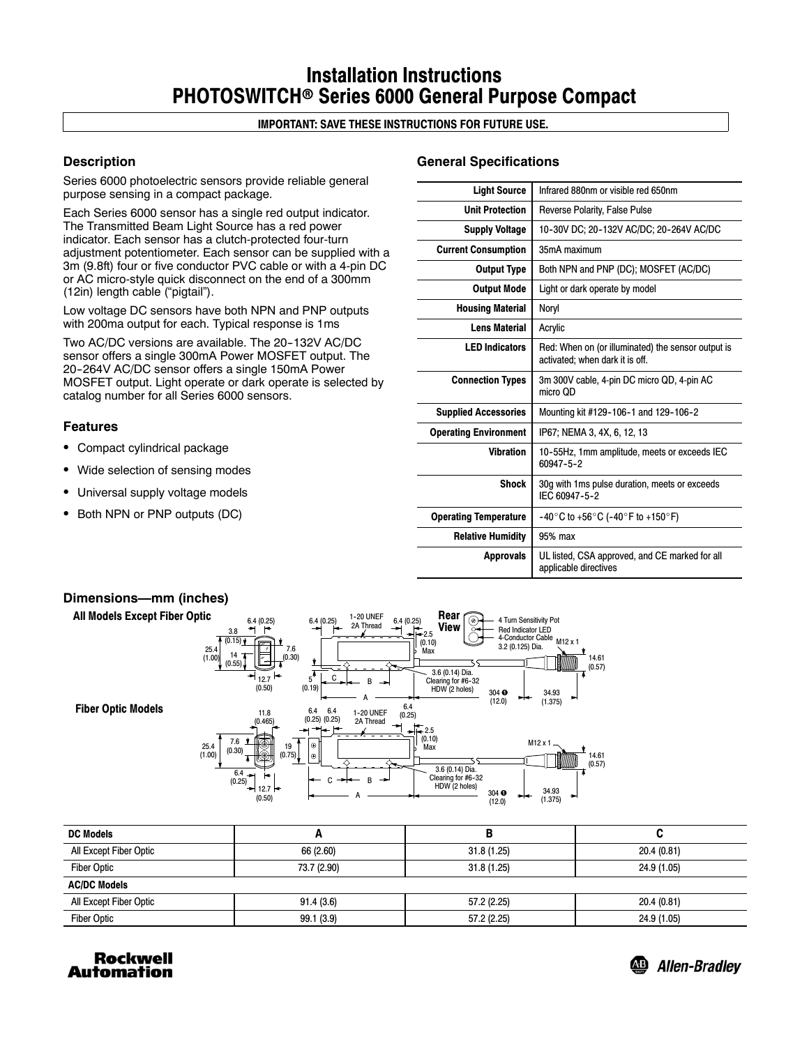# **Installation Instructions PHOTOSWITCH**r **Series 6000 General Purpose Compact**

# **IMPORTANT: SAVE THESE INSTRUCTIONS FOR FUTURE USE.**

# **Description**

Series 6000 photoelectric sensors provide reliable general purpose sensing in a compact package.

Each Series 6000 sensor has a single red output indicator. The Transmitted Beam Light Source has a red power indicator. Each sensor has a clutch-protected four-turn adjustment potentiometer. Each sensor can be supplied with a 3m (9.8ft) four or five conductor PVC cable or with a 4-pin DC or AC micro-style quick disconnect on the end of a 300mm (12in) length cable ("pigtail").

Low voltage DC sensors have both NPN and PNP outputs with 200ma output for each. Typical response is 1ms

Two AC/DC versions are available. The 20-132V AC/DC sensor offers a single 300mA Power MOSFET output. The 20-264V AC/DC sensor offers a single 150mA Power MOSFET output. Light operate or dark operate is selected by catalog number for all Series 6000 sensors.

## **Features**

- Compact cylindrical package
- Wide selection of sensing modes
- Universal supply voltage models
- Both NPN or PNP outputs (DC)

## **General Specifications**

| Infrared 880nm or visible red 650nm                                                   |  |
|---------------------------------------------------------------------------------------|--|
| <b>Reverse Polarity, False Pulse</b>                                                  |  |
| 10-30V DC; 20-132V AC/DC; 20-264V AC/DC                                               |  |
| 35mA maximum                                                                          |  |
| Both NPN and PNP (DC); MOSFET (AC/DC)                                                 |  |
| Light or dark operate by model                                                        |  |
| Noryl                                                                                 |  |
| Acrylic                                                                               |  |
| Red: When on (or illuminated) the sensor output is<br>activated; when dark it is off. |  |
| 3m 300V cable, 4-pin DC micro QD, 4-pin AC<br>micro OD                                |  |
| Mounting kit #129-106-1 and 129-106-2                                                 |  |
| IP67; NEMA 3, 4X, 6, 12, 13                                                           |  |
| 10-55Hz, 1mm amplitude, meets or exceeds IEC<br>60947-5-2                             |  |
| 30g with 1ms pulse duration, meets or exceeds<br>IFC 60947-5-2                        |  |
| $-40^{\circ}$ C to +56 $^{\circ}$ C (-40 $^{\circ}$ F to +150 $^{\circ}$ F)           |  |
| 95% max                                                                               |  |
| UL listed, CSA approved, and CE marked for all<br>applicable directives               |  |
|                                                                                       |  |



| <b>DC Models</b>       | ́г          |             |             |  |
|------------------------|-------------|-------------|-------------|--|
| All Except Fiber Optic | 66 (2.60)   | 31.8(1.25)  | 20.4(0.81)  |  |
| <b>Fiber Optic</b>     | 73.7 (2.90) | 31.8(1.25)  | 24.9 (1.05) |  |
| <b>AC/DC Models</b>    |             |             |             |  |
| All Except Fiber Optic | 91.4(3.6)   | 57.2 (2.25) | 20.4 (0.81) |  |
| <b>Fiber Optic</b>     | 99.1 (3.9)  | 57.2 (2.25) | 24.9 (1.05) |  |



<sup>49</sup> Allen-Bradley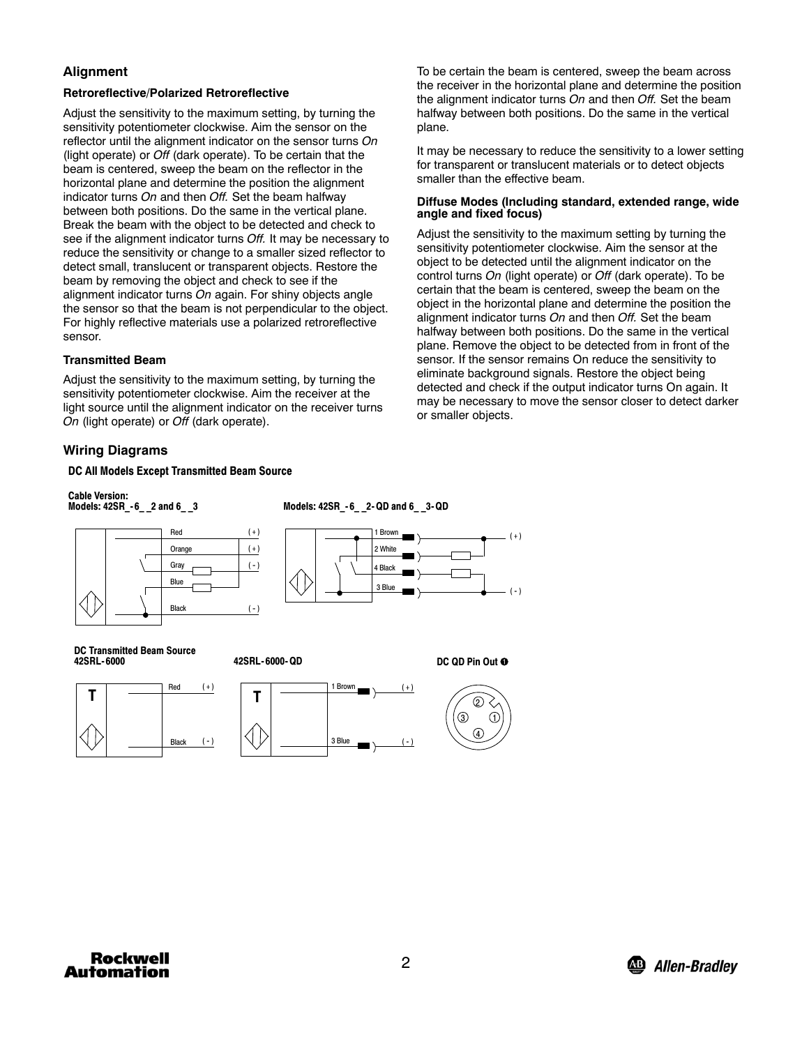# **Alignment**

## **Retroreflective/Polarized Retroreflective**

Adjust the sensitivity to the maximum setting, by turning the sensitivity potentiometer clockwise. Aim the sensor on the reflector until the alignment indicator on the sensor turns *On* (light operate) or *Off* (dark operate). To be certain that the beam is centered, sweep the beam on the reflector in the horizontal plane and determine the position the alignment indicator turns *On* and then *Off.* Set the beam halfway between both positions. Do the same in the vertical plane. Break the beam with the object to be detected and check to see if the alignment indicator turns *Off.* It may be necessary to reduce the sensitivity or change to a smaller sized reflector to detect small, translucent or transparent objects. Restore the beam by removing the object and check to see if the alignment indicator turns *On* again. For shiny objects angle the sensor so that the beam is not perpendicular to the object. For highly reflective materials use a polarized retroreflective sensor.

## **Transmitted Beam**

Adjust the sensitivity to the maximum setting, by turning the sensitivity potentiometer clockwise. Aim the receiver at the light source until the alignment indicator on the receiver turns *On* (light operate) or *Off* (dark operate).

# **Wiring Diagrams**

### **DC All Models Except Transmitted Beam Source**

**Cable Version:**

**Models: 42SR\_- 6\_ \_2 and 6\_ \_3**

**Models: 42SR\_- 6\_ \_2- QD and 6\_ \_3-QD**



To be certain the beam is centered, sweep the beam across the receiver in the horizontal plane and determine the position the alignment indicator turns *On* and then *Off.* Set the beam halfway between both positions. Do the same in the vertical plane.

It may be necessary to reduce the sensitivity to a lower setting for transparent or translucent materials or to detect objects smaller than the effective beam.

#### **Diffuse Modes (Including standard, extended range, wide angle and fixed focus)**

Adjust the sensitivity to the maximum setting by turning the sensitivity potentiometer clockwise. Aim the sensor at the object to be detected until the alignment indicator on the control turns *On* (light operate) or *Off* (dark operate). To be certain that the beam is centered, sweep the beam on the object in the horizontal plane and determine the position the alignment indicator turns *On* and then *Off.* Set the beam halfway between both positions. Do the same in the vertical plane. Remove the object to be detected from in front of the sensor. If the sensor remains On reduce the sensitivity to eliminate background signals. Restore the object being detected and check if the output indicator turns On again. It may be necessary to move the sensor closer to detect darker or smaller objects.

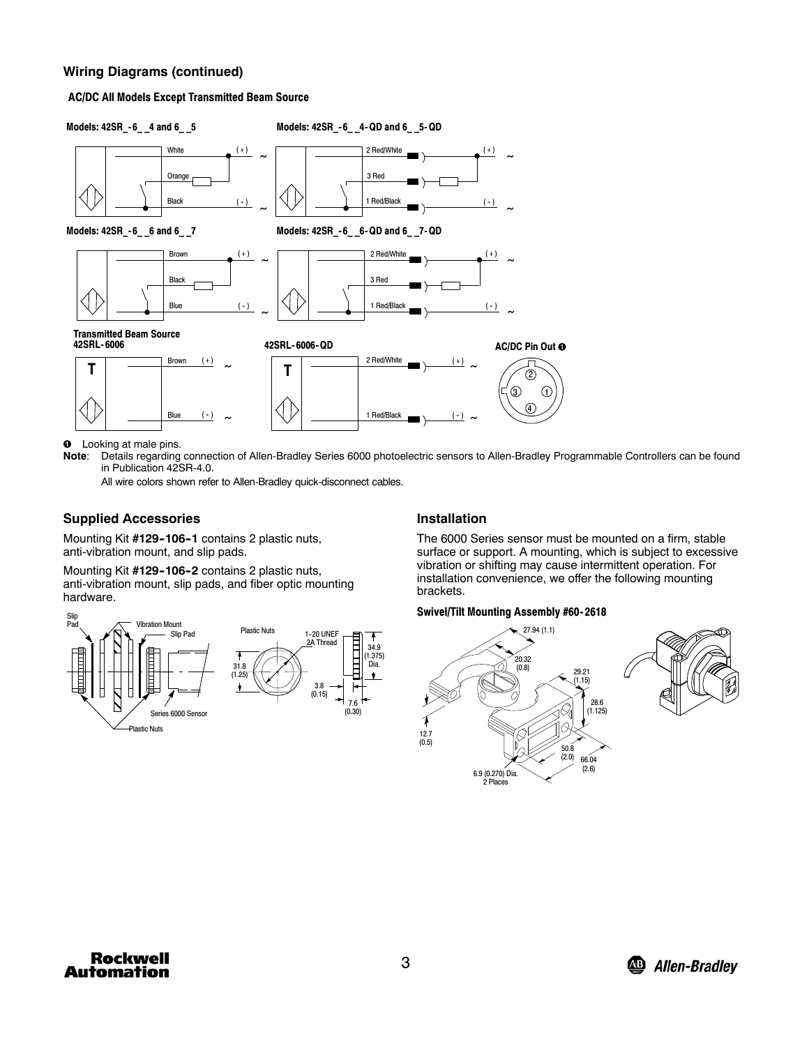## **Wiring Diagrams (continued)**

#### **AC/DC All Models Except Transmitted Beam Source**



**O** Looking at male pins.

Note: Details regarding connection of Allen-Bradley Series 6000 photoelectric sensors to Allen-Bradley Programmable Controllers can be found in Publication 42SR-4.0.

All wire colors shown refer to Allen-Bradley quick-disconnect cables.

### **Supplied Accessories**

Mounting Kit #129-106-1 contains 2 plastic nuts, anti-vibration mount, and slip pads.

Mounting Kit #129-106-2 contains 2 plastic nuts, anti-vibration mount, slip pads, and fiber optic mounting hardware.



### **Installation**

The 6000 Series sensor must be mounted on a firm, stable surface or support. A mounting, which is subject to excessive vibration or shifting may cause intermittent operation. For installation convenience, we offer the following mounting brackets.

#### **Swivel/Tilt Mounting Assembly #60- 2618**



**Rockwell Automation**